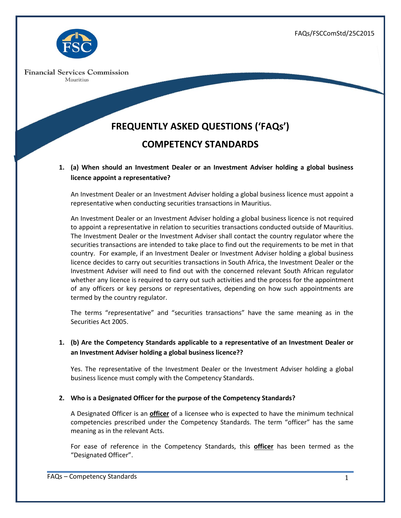FAQs/FSCComStd/25C2015



**Financial Services Commission** Mauritius

# **FREQUENTLY ASKED QUESTIONS ('FAQs') COMPETENCY STANDARDS**

# **1. (a) When should an Investment Dealer or an Investment Adviser holding a global business licence appoint a representative?**

An Investment Dealer or an Investment Adviser holding a global business licence must appoint a representative when conducting securities transactions in Mauritius.

An Investment Dealer or an Investment Adviser holding a global business licence is not required to appoint a representative in relation to securities transactions conducted outside of Mauritius. The Investment Dealer or the Investment Adviser shall contact the country regulator where the securities transactions are intended to take place to find out the requirements to be met in that country. For example, if an Investment Dealer or Investment Adviser holding a global business licence decides to carry out securities transactions in South Africa, the Investment Dealer or the Investment Adviser will need to find out with the concerned relevant South African regulator whether any licence is required to carry out such activities and the process for the appointment of any officers or key persons or representatives, depending on how such appointments are termed by the country regulator.

The terms "representative" and "securities transactions" have the same meaning as in the Securities Act 2005.

# **1. (b) Are the Competency Standards applicable to a representative of an Investment Dealer or an Investment Adviser holding a global business licence??**

Yes. The representative of the Investment Dealer or the Investment Adviser holding a global business licence must comply with the Competency Standards.

## **2. Who is a Designated Officer for the purpose of the Competency Standards?**

A Designated Officer is an **officer** of a licensee who is expected to have the minimum technical competencies prescribed under the Competency Standards. The term "officer" has the same meaning as in the relevant Acts.

For ease of reference in the Competency Standards, this **officer** has been termed as the "Designated Officer".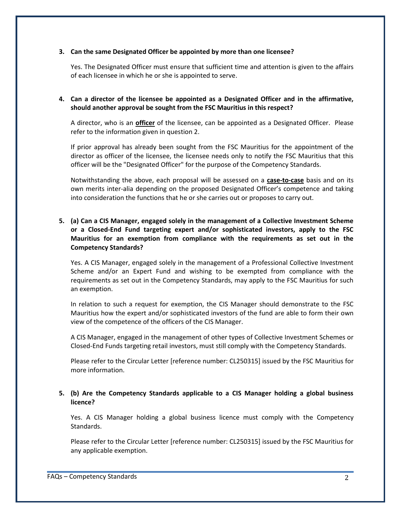#### **3. Can the same Designated Officer be appointed by more than one licensee?**

Yes. The Designated Officer must ensure that sufficient time and attention is given to the affairs of each licensee in which he or she is appointed to serve.

## **4. Can a director of the licensee be appointed as a Designated Officer and in the affirmative, should another approval be sought from the FSC Mauritius in this respect?**

A director, who is an **officer** of the licensee, can be appointed as a Designated Officer. Please refer to the information given in question 2.

If prior approval has already been sought from the FSC Mauritius for the appointment of the director as officer of the licensee, the licensee needs only to notify the FSC Mauritius that this officer will be the "Designated Officer" for the purpose of the Competency Standards.

Notwithstanding the above, each proposal will be assessed on a **case-to-case** basis and on its own merits inter-alia depending on the proposed Designated Officer's competence and taking into consideration the functions that he or she carries out or proposes to carry out.

## **5. (a) Can a CIS Manager, engaged solely in the management of a Collective Investment Scheme or a Closed-End Fund targeting expert and/or sophisticated investors, apply to the FSC Mauritius for an exemption from compliance with the requirements as set out in the Competency Standards?**

Yes. A CIS Manager, engaged solely in the management of a Professional Collective Investment Scheme and/or an Expert Fund and wishing to be exempted from compliance with the requirements as set out in the Competency Standards, may apply to the FSC Mauritius for such an exemption.

In relation to such a request for exemption, the CIS Manager should demonstrate to the FSC Mauritius how the expert and/or sophisticated investors of the fund are able to form their own view of the competence of the officers of the CIS Manager.

A CIS Manager, engaged in the management of other types of Collective Investment Schemes or Closed-End Funds targeting retail investors, must still comply with the Competency Standards.

Please refer to the Circular Letter [reference number: CL250315] issued by the FSC Mauritius for more information.

#### **5. (b) Are the Competency Standards applicable to a CIS Manager holding a global business licence?**

Yes. A CIS Manager holding a global business licence must comply with the Competency Standards.

Please refer to the Circular Letter [reference number: CL250315] issued by the FSC Mauritius for any applicable exemption.